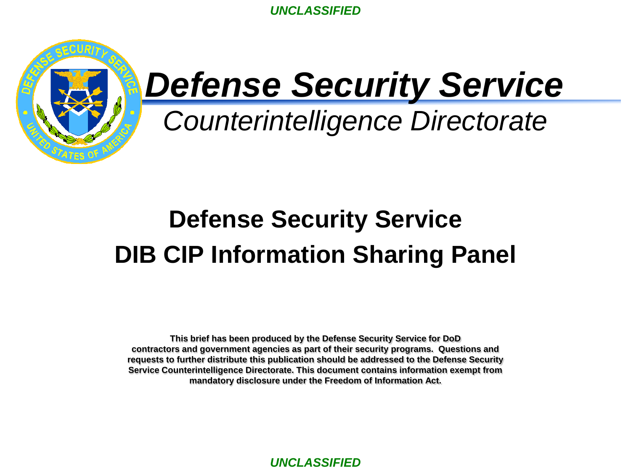

# *Defense Security Service*

*Counterintelligence Directorate*

# **Defense Security Service DIB CIP Information Sharing Panel**

**This brief has been produced by the Defense Security Service for DoD contractors and government agencies as part of their security programs. Questions and requests to further distribute this publication should be addressed to the Defense Security Service Counterintelligence Directorate. This document contains information exempt from mandatory disclosure under the Freedom of Information Act.**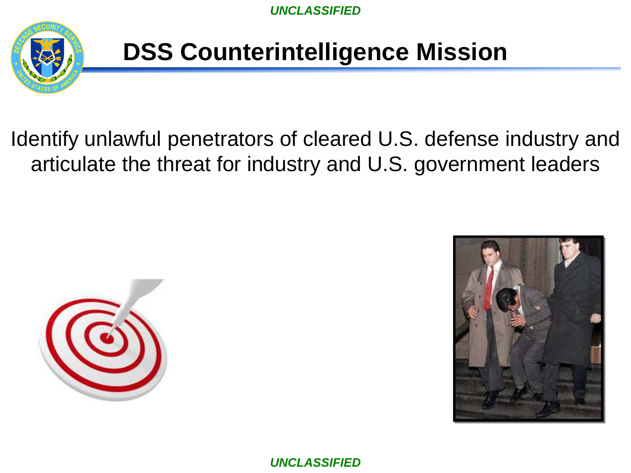

#### **DSS Counterintelligence Mission**

#### Identify unlawful penetrators of cleared U.S. defense industry and articulate the threat for industry and U.S. government leaders



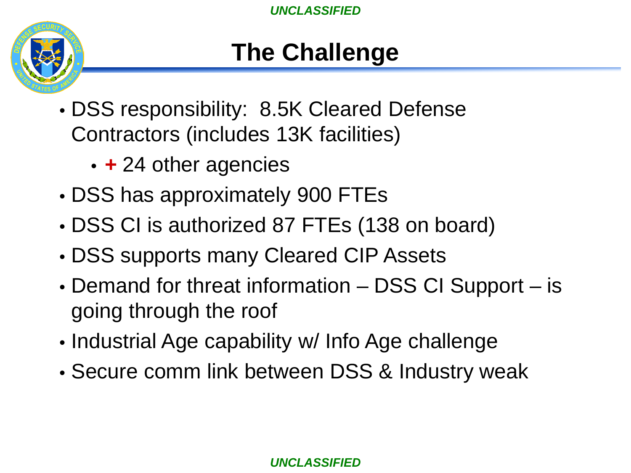

#### **The Challenge**

- DSS responsibility: 8.5K Cleared Defense Contractors (includes 13K facilities)
	- *+* 24 other agencies
- DSS has approximately 900 FTEs
- DSS CI is authorized 87 FTEs (138 on board)
- DSS supports many Cleared CIP Assets
- Demand for threat information DSS CI Support is going through the roof
- Industrial Age capability w/ Info Age challenge
- Secure comm link between DSS & Industry weak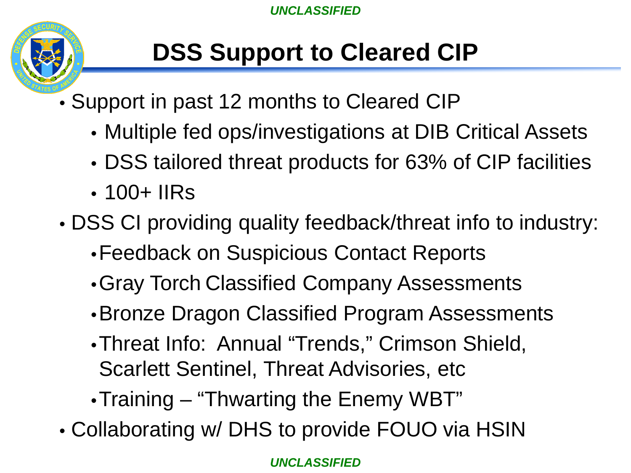

## **DSS Support to Cleared CIP**

- Support in past 12 months to Cleared CIP
	- Multiple fed ops/investigations at DIB Critical Assets
	- DSS tailored threat products for 63% of CIP facilities
	- 100+ IIRs
- DSS CI providing quality feedback/threat info to industry:
	- •Feedback on Suspicious Contact Reports
	- •Gray Torch Classified Company Assessments
	- •Bronze Dragon Classified Program Assessments
	- •Threat Info: Annual "Trends," Crimson Shield, Scarlett Sentinel, Threat Advisories, etc
	- •Training "Thwarting the Enemy WBT"
- Collaborating w/ DHS to provide FOUO via HSIN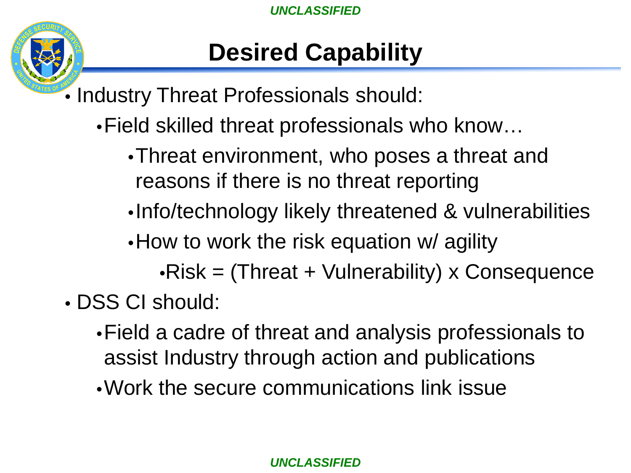

#### **Desired Capability**

- Industry Threat Professionals should:
	- •Field skilled threat professionals who know…
		- •Threat environment, who poses a threat and reasons if there is no threat reporting
		- •Info/technology likely threatened & vulnerabilities
		- How to work the risk equation w/ agility
			- •Risk = (Threat + Vulnerability) x Consequence
- DSS CI should:
	- •Field a cadre of threat and analysis professionals to assist Industry through action and publications
	- •Work the secure communications link issue